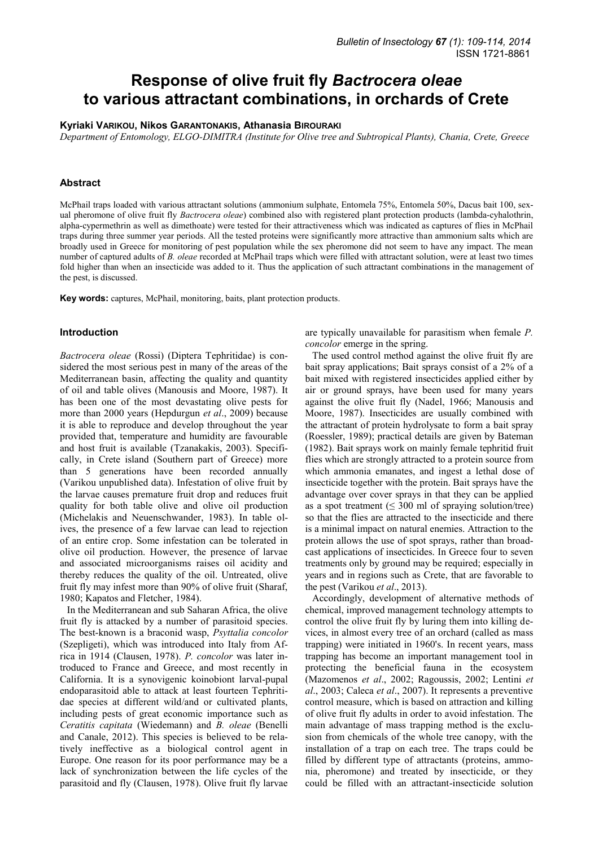# **Response of olive fruit fly** *Bactrocera oleae* **to various attractant combinations, in orchards of Crete**

## **Kyriaki VARIKOU, Nikos GARANTONAKIS, Athanasia BIROURAKI**

*Department of Entomology, ELGO-DIMITRA (Institute for Olive tree and Subtropical Plants), Chania, Crete, Greece* 

# **Abstract**

McPhail traps loaded with various attractant solutions (ammonium sulphate, Entomela 75%, Entomela 50%, Dacus bait 100, sexual pheromone of olive fruit fly *Bactrocera oleae*) combined also with registered plant protection products (lambda-cyhalothrin, alpha-cypermethrin as well as dimethoate) were tested for their attractiveness which was indicated as captures of flies in McPhail traps during three summer year periods. All the tested proteins were significantly more attractive than ammonium salts which are broadly used in Greece for monitoring of pest population while the sex pheromone did not seem to have any impact. The mean number of captured adults of *B. oleae* recorded at McPhail traps which were filled with attractant solution, were at least two times fold higher than when an insecticide was added to it. Thus the application of such attractant combinations in the management of the pest, is discussed.

**Key words:** captures, McPhail, monitoring, baits, plant protection products.

#### **Introduction**

*Bactrocera oleae* (Rossi) (Diptera Tephritidae) is considered the most serious pest in many of the areas of the Mediterranean basin, affecting the quality and quantity of oil and table olives (Manousis and Moore, 1987). It has been one of the most devastating olive pests for more than 2000 years (Hepdurgun *et al*., 2009) because it is able to reproduce and develop throughout the year provided that, temperature and humidity are favourable and host fruit is available (Tzanakakis, 2003). Specifically, in Crete island (Southern part of Greece) more than 5 generations have been recorded annually (Varikou unpublished data). Infestation of olive fruit by the larvae causes premature fruit drop and reduces fruit quality for both table olive and olive oil production (Michelakis and Neuenschwander, 1983). In table olives, the presence of a few larvae can lead to rejection of an entire crop. Some infestation can be tolerated in olive oil production. However, the presence of larvae and associated microorganisms raises oil acidity and thereby reduces the quality of the oil. Untreated, olive fruit fly may infest more than 90% of olive fruit (Sharaf, 1980; Kapatos and Fletcher, 1984).

In the Mediterranean and sub Saharan Africa, the olive fruit fly is attacked by a number of parasitoid species. The best-known is a braconid wasp, *Psyttalia concolor*  (Szepligeti), which was introduced into Italy from Africa in 1914 (Clausen, 1978). *P. concolor* was later introduced to France and Greece, and most recently in California. It is a synovigenic koinobiont larval-pupal endoparasitoid able to attack at least fourteen Tephritidae species at different wild/and or cultivated plants, including pests of great economic importance such as *Ceratitis capitata* (Wiedemann) and *B. oleae* (Benelli and Canale, 2012). This species is believed to be relatively ineffective as a biological control agent in Europe. One reason for its poor performance may be a lack of synchronization between the life cycles of the parasitoid and fly (Clausen, 1978). Olive fruit fly larvae are typically unavailable for parasitism when female *P. concolor* emerge in the spring.

The used control method against the olive fruit fly are bait spray applications; Bait sprays consist of a 2% of a bait mixed with registered insecticides applied either by air or ground sprays, have been used for many years against the olive fruit fly (Nadel, 1966; Manousis and Moore, 1987). Insecticides are usually combined with the attractant of protein hydrolysate to form a bait spray (Roessler, 1989); practical details are given by Bateman (1982). Bait sprays work on mainly female tephritid fruit flies which are strongly attracted to a protein source from which ammonia emanates, and ingest a lethal dose of insecticide together with the protein. Bait sprays have the advantage over cover sprays in that they can be applied as a spot treatment  $( \leq 300 \text{ ml of}$  spraying solution/tree) so that the flies are attracted to the insecticide and there is a minimal impact on natural enemies. Attraction to the protein allows the use of spot sprays, rather than broadcast applications of insecticides. In Greece four to seven treatments only by ground may be required; especially in years and in regions such as Crete, that are favorable to the pest (Varikou *et al*., 2013).

Accordingly, development of alternative methods of chemical, improved management technology attempts to control the olive fruit fly by luring them into killing devices, in almost every tree of an orchard (called as mass trapping) were initiated in 1960's. In recent years, mass trapping has become an important management tool in protecting the beneficial fauna in the ecosystem (Mazomenos *et al*., 2002; Ragoussis, 2002; Lentini *et al*., 2003; Caleca *et al*., 2007). It represents a preventive control measure, which is based on attraction and killing of olive fruit fly adults in order to avoid infestation. The main advantage of mass trapping method is the exclusion from chemicals of the whole tree canopy, with the installation of a trap on each tree. The traps could be filled by different type of attractants (proteins, ammonia, pheromone) and treated by insecticide, or they could be filled with an attractant-insecticide solution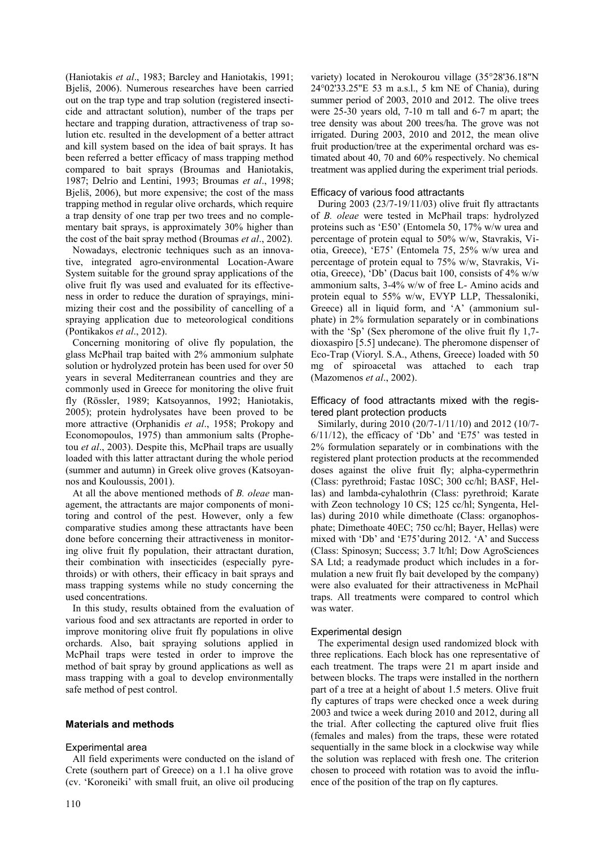(Haniotakis *et al*., 1983; Barcley and Haniotakis, 1991; Bjeliš, 2006). Numerous researches have been carried out on the trap type and trap solution (registered insecticide and attractant solution), number of the traps per hectare and trapping duration, attractiveness of trap solution etc. resulted in the development of a better attract and kill system based on the idea of bait sprays. It has been referred a better efficacy of mass trapping method compared to bait sprays (Broumas and Haniotakis, 1987; Delrio and Lentini, 1993; Broumas *et al*., 1998; Bjeliš, 2006), but more expensive; the cost of the mass trapping method in regular olive orchards, which require a trap density of one trap per two trees and no complementary bait sprays, is approximately 30% higher than the cost of the bait spray method (Broumas *et al*., 2002).

Nowadays, electronic techniques such as an innovative, integrated agro-environmental Location-Aware System suitable for the ground spray applications of the olive fruit fly was used and evaluated for its effectiveness in order to reduce the duration of sprayings, minimizing their cost and the possibility of cancelling of a spraying application due to meteorological conditions (Pontikakos *et al*., 2012).

Concerning monitoring of olive fly population, the glass McPhail trap baited with 2% ammonium sulphate solution or hydrolyzed protein has been used for over 50 years in several Mediterranean countries and they are commonly used in Greece for monitoring the olive fruit fly (Rössler, 1989; Katsoyannos, 1992; Haniotakis, 2005); protein hydrolysates have been proved to be more attractive (Orphanidis *et al*., 1958; Prokopy and Economopoulos, 1975) than ammonium salts (Prophetou *et al*., 2003). Despite this, McPhail traps are usually loaded with this latter attractant during the whole period (summer and autumn) in Greek olive groves (Katsoyannos and Kouloussis, 2001).

At all the above mentioned methods of *B. oleae* management, the attractants are major components of monitoring and control of the pest. However, only a few comparative studies among these attractants have been done before concerning their attractiveness in monitoring olive fruit fly population, their attractant duration, their combination with insecticides (especially pyrethroids) or with others, their efficacy in bait sprays and mass trapping systems while no study concerning the used concentrations.

In this study, results obtained from the evaluation of various food and sex attractants are reported in order to improve monitoring olive fruit fly populations in olive orchards. Also, bait spraying solutions applied in McPhail traps were tested in order to improve the method of bait spray by ground applications as well as mass trapping with a goal to develop environmentally safe method of pest control.

# **Materials and methods**

## Experimental area

All field experiments were conducted on the island of Crete (southern part of Greece) on a 1.1 ha olive grove (cv. 'Koroneiki' with small fruit, an olive oil producing

variety) located in Nerokourou village (35°28'36.18"N 24°02'33.25"E 53 m a.s.l., 5 km NE of Chania), during summer period of 2003, 2010 and 2012. The olive trees were 25-30 years old, 7-10 m tall and 6-7 m apart; the tree density was about 200 trees/ha. The grove was not irrigated. During 2003, 2010 and 2012, the mean olive fruit production/tree at the experimental orchard was estimated about 40, 70 and 60% respectively. No chemical treatment was applied during the experiment trial periods.

# Efficacy of various food attractants

During 2003 (23/7-19/11/03) olive fruit fly attractants of *B. oleae* were tested in McPhail traps: hydrolyzed proteins such as 'E50' (Entomela 50, 17% w/w urea and percentage of protein equal to 50% w/w, Stavrakis, Viotia, Greece), 'E75' (Entomela 75, 25% w/w urea and percentage of protein equal to 75% w/w, Stavrakis, Viotia, Greece), 'Db' (Dacus bait 100, consists of 4% w/w ammonium salts, 3-4% w/w of free L- Amino acids and protein equal to 55% w/w, EVYP LLP, Thessaloniki, Greece) all in liquid form, and 'A' (ammonium sulphate) in 2% formulation separately or in combinations with the 'Sp' (Sex pheromone of the olive fruit fly 1,7 dioxaspiro [5.5] undecane). The pheromone dispenser of Eco-Trap (Vioryl. S.A., Athens, Greece) loaded with 50 mg of spiroacetal was attached to each trap (Mazomenos *et al*., 2002).

Efficacy of food attractants mixed with the registered plant protection products

Similarly, during 2010 (20/7-1/11/10) and 2012 (10/7-  $6/11/12$ ), the efficacy of 'Db' and 'E75' was tested in 2% formulation separately or in combinations with the registered plant protection products at the recommended doses against the olive fruit fly; alpha-cypermethrin (Class: pyrethroid; Fastac 10SC; 300 cc/hl; BASF, Hellas) and lambda-cyhalothrin (Class: pyrethroid; Karate with Zeon technology 10 CS; 125 cc/hl; Syngenta, Hellas) during 2010 while dimethoate (Class: organophosphate; Dimethoate 40EC; 750 cc/hl; Bayer, Hellas) were mixed with 'Db' and 'E75'during 2012. 'A' and Success (Class: Spinosyn; Success; 3.7 lt/hl; Dow AgroSciences SA Ltd; a readymade product which includes in a formulation a new fruit fly bait developed by the company) were also evaluated for their attractiveness in McPhail traps. All treatments were compared to control which was water.

## Experimental design

The experimental design used randomized block with three replications. Each block has one representative of each treatment. The traps were 21 m apart inside and between blocks. The traps were installed in the northern part of a tree at a height of about 1.5 meters. Olive fruit fly captures of traps were checked once a week during 2003 and twice a week during 2010 and 2012, during all the trial. After collecting the captured olive fruit flies (females and males) from the traps, these were rotated sequentially in the same block in a clockwise way while the solution was replaced with fresh one. The criterion chosen to proceed with rotation was to avoid the influence of the position of the trap on fly captures.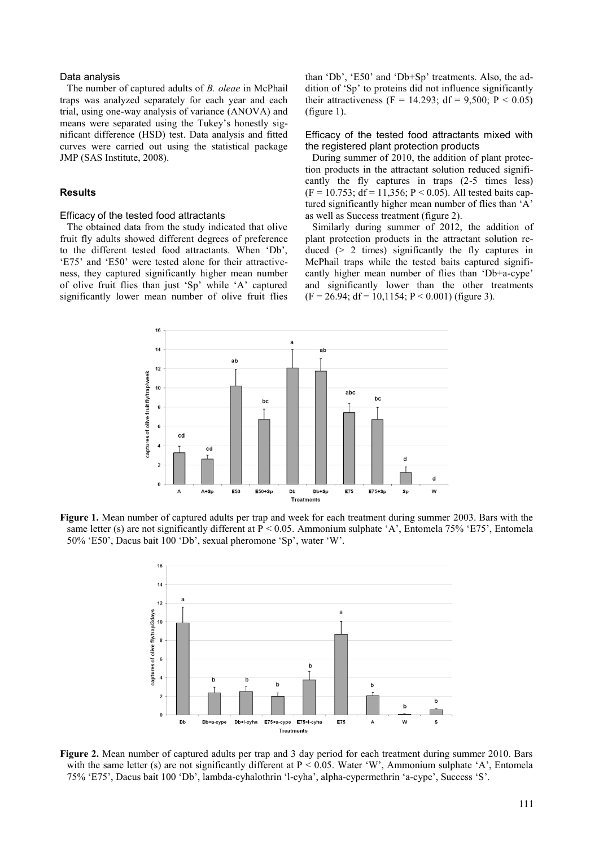### Data analysis

The number of captured adults of *B. oleae* in McPhail traps was analyzed separately for each year and each trial, using one-way analysis of variance (ANOVA) and means were separated using the Tukey's honestly significant difference (HSD) test. Data analysis and fitted curves were carried out using the statistical package JMP (SAS Institute, 2008).

# **Results**

#### Efficacy of the tested food attractants

The obtained data from the study indicated that olive fruit fly adults showed different degrees of preference to the different tested food attractants. When 'Db', 'E75' and 'E50' were tested alone for their attractiveness, they captured significantly higher mean number of olive fruit flies than just 'Sp' while 'A' captured significantly lower mean number of olive fruit flies

than 'Db', 'E50' and 'Db+Sp' treatments. Also, the addition of 'Sp' to proteins did not influence significantly their attractiveness (F = 14.293; df = 9,500; P < 0.05) (figure 1).

#### Efficacy of the tested food attractants mixed with the registered plant protection products

During summer of 2010, the addition of plant protection products in the attractant solution reduced significantly the fly captures in traps (2-5 times less)  $(F = 10.753; df = 11,356; P < 0.05)$ . All tested baits captured significantly higher mean number of flies than 'A' as well as Success treatment (figure 2).

Similarly during summer of 2012, the addition of plant protection products in the attractant solution reduced  $(> 2$  times) significantly the fly captures in McPhail traps while the tested baits captured significantly higher mean number of flies than 'Db+a-cype' and significantly lower than the other treatments  $(F = 26.94$ ;  $df = 10.1154$ ;  $P < 0.001$ ) (figure 3).



**Figure 1.** Mean number of captured adults per trap and week for each treatment during summer 2003. Bars with the same letter (s) are not significantly different at  $P < 0.05$ . Ammonium sulphate 'A', Entomela 75% 'E75', Entomela 50% 'E50', Dacus bait 100 'Db', sexual pheromone 'Sp', water 'W'.



**Figure 2.** Mean number of captured adults per trap and 3 day period for each treatment during summer 2010. Bars with the same letter (s) are not significantly different at  $P < 0.05$ . Water 'W', Ammonium sulphate 'A', Entomela 75% 'E75', Dacus bait 100 'Db', lambda-cyhalothrin 'l-cyha', alpha-cypermethrin 'a-cype', Success 'S'.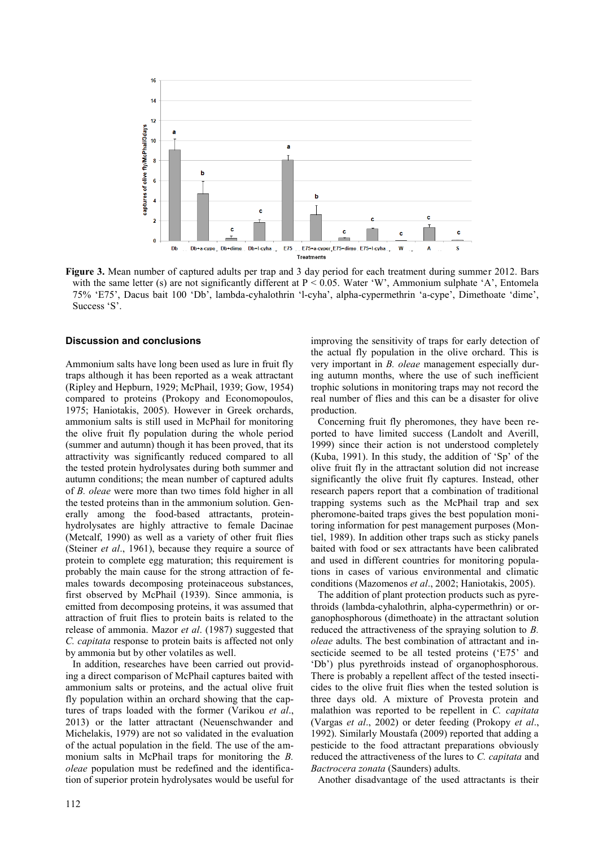

**Figure 3.** Mean number of captured adults per trap and 3 day period for each treatment during summer 2012. Bars with the same letter (s) are not significantly different at  $P < 0.05$ . Water 'W', Ammonium sulphate 'A', Entomela 75% 'E75', Dacus bait 100 'Db', lambda-cyhalothrin 'l-cyha', alpha-cypermethrin 'a-cype', Dimethoate 'dime', Success 'S'.

## **Discussion and conclusions**

Ammonium salts have long been used as lure in fruit fly traps although it has been reported as a weak attractant (Ripley and Hepburn, 1929; McPhail, 1939; Gow, 1954) compared to proteins (Prokopy and Economopoulos, 1975; Haniotakis, 2005). However in Greek orchards, ammonium salts is still used in McPhail for monitoring the olive fruit fly population during the whole period (summer and autumn) though it has been proved, that its attractivity was significantly reduced compared to all the tested protein hydrolysates during both summer and autumn conditions; the mean number of captured adults of *B. oleae* were more than two times fold higher in all the tested proteins than in the ammonium solution. Generally among the food-based attractants, proteinhydrolysates are highly attractive to female Dacinae (Metcalf, 1990) as well as a variety of other fruit flies (Steiner *et al*., 1961), because they require a source of protein to complete egg maturation; this requirement is probably the main cause for the strong attraction of females towards decomposing proteinaceous substances, first observed by McPhail (1939). Since ammonia, is emitted from decomposing proteins, it was assumed that attraction of fruit flies to protein baits is related to the release of ammonia. Mazor *et al*. (1987) suggested that *C. capitata* response to protein baits is affected not only by ammonia but by other volatiles as well.

In addition, researches have been carried out providing a direct comparison of McPhail captures baited with ammonium salts or proteins, and the actual olive fruit fly population within an orchard showing that the captures of traps loaded with the former (Varikou *et al*., 2013) or the latter attractant (Neuenschwander and Michelakis, 1979) are not so validated in the evaluation of the actual population in the field. The use of the ammonium salts in McPhail traps for monitoring the *B. oleae* population must be redefined and the identification of superior protein hydrolysates would be useful for

improving the sensitivity of traps for early detection of the actual fly population in the olive orchard. This is very important in *B. oleae* management especially during autumn months, where the use of such inefficient trophic solutions in monitoring traps may not record the real number of flies and this can be a disaster for olive production.

Concerning fruit fly pheromones, they have been reported to have limited success (Landolt and Averill, 1999) since their action is not understood completely (Kuba, 1991). In this study, the addition of 'Sp' of the olive fruit fly in the attractant solution did not increase significantly the olive fruit fly captures. Instead, other research papers report that a combination of traditional trapping systems such as the McPhail trap and sex pheromone-baited traps gives the best population monitoring information for pest management purposes (Montiel, 1989). In addition other traps such as sticky panels baited with food or sex attractants have been calibrated and used in different countries for monitoring populations in cases of various environmental and climatic conditions (Mazomenos *et al*., 2002; Haniotakis, 2005).

The addition of plant protection products such as pyrethroids (lambda-cyhalothrin, alpha-cypermethrin) or organophosphorous (dimethoate) in the attractant solution reduced the attractiveness of the spraying solution to *B. oleae* adults. The best combination of attractant and insecticide seemed to be all tested proteins ('E75' and 'Db') plus pyrethroids instead of organophosphorous. There is probably a repellent affect of the tested insecticides to the olive fruit flies when the tested solution is three days old. A mixture of Provesta protein and malathion was reported to be repellent in *C. capitata* (Vargas *et al*., 2002) or deter feeding (Prokopy *et al*., 1992). Similarly Moustafa (2009) reported that adding a pesticide to the food attractant preparations obviously reduced the attractiveness of the lures to *C. capitata* and *Bactrocera zonata* (Saunders) adults.

Another disadvantage of the used attractants is their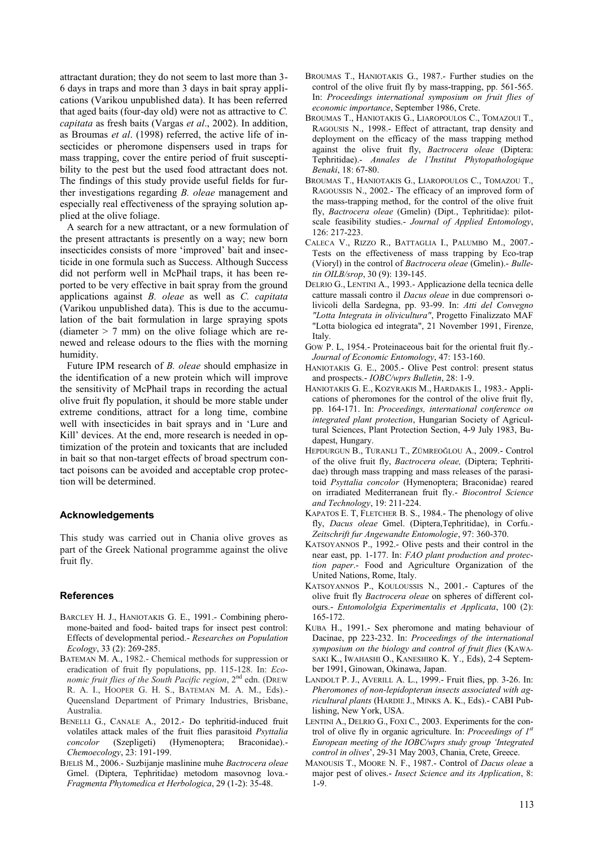attractant duration; they do not seem to last more than 3- 6 days in traps and more than 3 days in bait spray applications (Varikou unpublished data). It has been referred that aged baits (four-day old) were not as attractive to *C. capitata* as fresh baits (Vargas *et al*., 2002). In addition, as Broumas *et al*. (1998) referred, the active life of insecticides or pheromone dispensers used in traps for mass trapping, cover the entire period of fruit susceptibility to the pest but the used food attractant does not. The findings of this study provide useful fields for further investigations regarding *B. oleae* management and especially real effectiveness of the spraying solution applied at the olive foliage.

A search for a new attractant, or a new formulation of the present attractants is presently on a way; new born insecticides consists of more 'improved' bait and insecticide in one formula such as Success. Although Success did not perform well in McPhail traps, it has been reported to be very effective in bait spray from the ground applications against *B. oleae* as well as *C. capitata*  (Varikou unpublished data). This is due to the accumulation of the bait formulation in large spraying spots (diameter  $> 7$  mm) on the olive foliage which are renewed and release odours to the flies with the morning humidity.

Future IPM research of *B. oleae* should emphasize in the identification of a new protein which will improve the sensitivity of McPhail traps in recording the actual olive fruit fly population, it should be more stable under extreme conditions, attract for a long time, combine well with insecticides in bait sprays and in 'Lure and Kill' devices. At the end, more research is needed in optimization of the protein and toxicants that are included in bait so that non-target effects of broad spectrum contact poisons can be avoided and acceptable crop protection will be determined.

## **Acknowledgements**

This study was carried out in Chania olive groves as part of the Greek National programme against the olive fruit fly.

#### **References**

- BARCLEY H. J., HANIOTAKIS G. E., 1991.- Combining pheromone-baited and food- baited traps for insect pest control: Effects of developmental period.- *Researches on Population Ecology*, 33 (2): 269-285.
- BATEMAN M. A., 1982.- Chemical methods for suppression or eradication of fruit fly populations, pp. 115-128. In: *Eco*nomic fruit flies of the South Pacific region, 2<sup>nd</sup> edn. (DREW R. A. I., HOOPER G. H. S., BATEMAN M. A. M., Eds).- Queensland Department of Primary Industries, Brisbane, Australia.
- BENELLI G., CANALE A., 2012.- Do tephritid-induced fruit volatiles attack males of the fruit flies parasitoid *Psyttalia concolor* (Szepligeti) (Hymenoptera; Braconidae).- *Chemoecology*, 23: 191-199.
- BJELIŠ M., 2006.- Suzbijanje maslinine muhe *Bactrocera oleae* Gmel. (Diptera, Tephritidae) metodom masovnog lova.- *Fragmenta Phytomedica et Herbologica*, 29 (1-2): 35-48.
- BROUMAS T., HANIOTAKIS G., 1987.- Further studies on the control of the olive fruit fly by mass-trapping, pp. 561-565. In: *Proceedings international symposium on fruit flies of economic importance*, September 1986, Crete.
- BROUMAS T., HANIOTAKIS G., LIAROPOULOS C., TOMAZOUI T., RAGOUSIS N., 1998.- Effect of attractant, trap density and deployment on the efficacy of the mass trapping method against the olive fruit fly, *Bactrocera oleae* (Diptera: Tephritidae).- *Annales de l'Institut Phytopathologique Benaki*, 18: 67-80.
- BROUMAS T., HANIOTAKIS G., LIAROPOULOS C., TOMAZOU T., RAGOUSSIS N., 2002.- The efficacy of an improved form of the mass-trapping method, for the control of the olive fruit fly, *Bactrocera oleae* (Gmelin) (Dipt., Tephritidae): pilotscale feasibility studies.- *Journal of Applied Entomology*, 126: 217-223.
- CALECA V., RIZZO R., BATTAGLIA I., PALUMBO M., 2007.- Tests on the effectiveness of mass trapping by Eco-trap (Vioryl) in the control of *Bactrocera oleae* (Gmelin).- *Bulletin OILB/srop*, 30 (9): 139-145.
- DELRIO G., LENTINI A., 1993.- Applicazione della tecnica delle catture massali contro il *Dacus oleae* in due comprensori olivicoli della Sardegna, pp. 93-99. In: *Atti del Convegno "Lotta Integrata in olivicultura"*, Progetto Finalizzato MAF "Lotta biologica ed integrata", 21 November 1991, Firenze, **Italy**
- GOW P. L, 1954.- Proteinaceous bait for the oriental fruit fly.- *Journal of Economic Entomology*, 47: 153-160.
- HANIOTAKIS G. E., 2005.- Olive Pest control: present status and prospects.- *IOBC/wprs Bulletin*, 28: 1-9.
- HANIOTAKIS G. E., KOZYRAKIS M., HARDAKIS I., 1983.- Applications of pheromones for the control of the olive fruit fly, pp. 164-171. In: *Proceedings, international conference on integrated plant protection*, Hungarian Society of Agricultural Sciences, Plant Protection Section, 4-9 July 1983, Budapest, Hungary.
- HEPDURGUN B., TURANLI T., ZÜMREOĞLOU A., 2009.- Control of the olive fruit fly, *Bactrocera oleae,* (Diptera; Tephritidae) through mass trapping and mass releases of the parasitoid *Psyttalia concolor* (Hymenoptera; Braconidae) reared on irradiated Mediterranean fruit fly.- *Biocontrol Science and Technology*, 19: 211-224.
- KAPATOS E. T, FLETCHER B. S., 1984.- The phenology of olive fly, *Dacus oleae* Gmel. (Diptera,Tephritidae), in Corfu.- *Zeitschrift fur Angewandte Entomologie*, 97: 360-370.
- KATSOYANNOS P., 1992.- Olive pests and their control in the near east, pp. 1-177. In: *FAO plant production and protection paper*.- Food and Agriculture Organization of the United Nations, Rome, Italy.
- KATSOYANNOS P., KOULOUSSIS N., 2001.- Captures of the olive fruit fly *Bactrocera oleae* on spheres of different colours.- *Entomololgia Experimentalis et Applicata*, 100 (2): 165-172.
- KUBA H., 1991.- Sex pheromone and mating behaviour of Dacinae, pp 223-232. In: *Proceedings of the international symposium on the biology and control of fruit flies* (KAWA-SAKI K., IWAHASHI O., KANESHIRO K. Y., Eds), 2-4 September 1991, Ginowan, Okinawa, Japan.
- LANDOLT P. J., AVERILL A. L., 1999.- Fruit flies, pp. 3-26. In: *Pheromones of non-lepidopteran insects associated with agricultural plants* (HARDIE J., MINKS A. K., Eds).- CABI Publishing, New York, USA.
- LENTINI A., DELRIO G., FOXI C., 2003. Experiments for the control of olive fly in organic agriculture. In: *Proceedings of 1st European meeting of the IOBC/wprs study group 'Integrated control in olives*', 29-31 May 2003, Chania, Crete, Greece.
- MANOUSIS T., MOORE N. F., 1987.- Control of *Dacus oleae* a major pest of olives.- *Insect Science and its Application*, 8: 1-9.